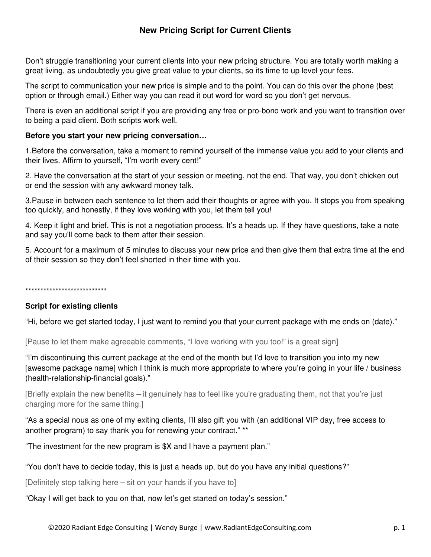# **New Pricing Script for Current Clients**

Don't struggle transitioning your current clients into your new pricing structure. You are totally worth making a great living, as undoubtedly you give great value to your clients, so its time to up level your fees.

The script to communication your new price is simple and to the point. You can do this over the phone (best option or through email.) Either way you can read it out word for word so you don't get nervous.

There is even an additional script if you are providing any free or pro-bono work and you want to transition over to being a paid client. Both scripts work well.

### **Before you start your new pricing conversation…**

1.Before the conversation, take a moment to remind yourself of the immense value you add to your clients and their lives. Affirm to yourself, "I'm worth every cent!"

2. Have the conversation at the start of your session or meeting, not the end. That way, you don't chicken out or end the session with any awkward money talk.

3.Pause in between each sentence to let them add their thoughts or agree with you. It stops you from speaking too quickly, and honestly, if they love working with you, let them tell you!

4. Keep it light and brief. This is not a negotiation process. It's a heads up. If they have questions, take a note and say you'll come back to them after their session.

5. Account for a maximum of 5 minutes to discuss your new price and then give them that extra time at the end of their session so they don't feel shorted in their time with you.

\*\*\*\*\*\*\*\*\*\*\*\*\*\*\*\*\*\*\*\*\*\*\*\*\*\*\*

### **Script for existing clients**

"Hi, before we get started today, I just want to remind you that your current package with me ends on (date)."

[Pause to let them make agreeable comments, "I love working with you too!" is a great sign]

"I'm discontinuing this current package at the end of the month but I'd love to transition you into my new [awesome package name] which I think is much more appropriate to where you're going in your life / business (health-relationship-financial goals)."

[Briefly explain the new benefits – it genuinely has to feel like you're graduating them, not that you're just charging more for the same thing.]

"As a special nous as one of my exiting clients, I'll also gift you with (an additional VIP day, free access to another program) to say thank you for renewing your contract." \*\*

"The investment for the new program is \$X and I have a payment plan."

"You don't have to decide today, this is just a heads up, but do you have any initial questions?"

[Definitely stop talking here – sit on your hands if you have to]

"Okay I will get back to you on that, now let's get started on today's session."